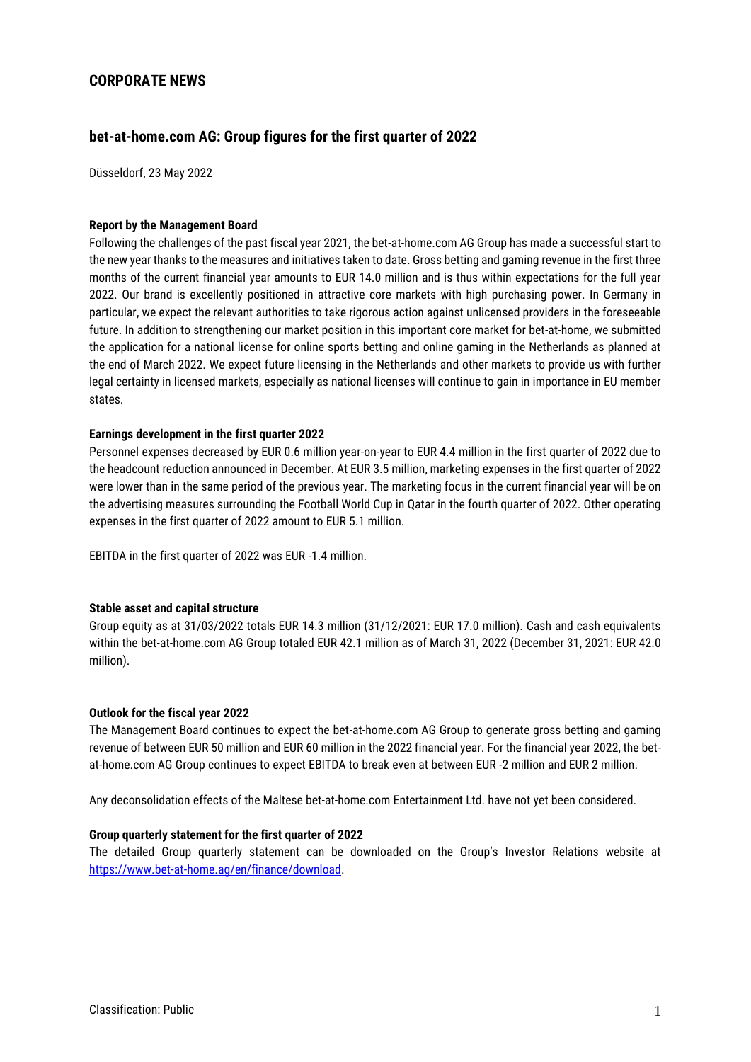## **CORPORATE NEWS**

# **bet-at-home.com AG: Group figures for the first quarter of 2022**

Düsseldorf, 23 May 2022

#### **Report by the Management Board**

Following the challenges of the past fiscal year 2021, the bet-at-home.com AG Group has made a successful start to the new year thanks to the measures and initiatives taken to date. Gross betting and gaming revenue in the first three months of the current financial year amounts to EUR 14.0 million and is thus within expectations for the full year 2022. Our brand is excellently positioned in attractive core markets with high purchasing power. In Germany in particular, we expect the relevant authorities to take rigorous action against unlicensed providers in the foreseeable future. In addition to strengthening our market position in this important core market for bet-at-home, we submitted the application for a national license for online sports betting and online gaming in the Netherlands as planned at the end of March 2022. We expect future licensing in the Netherlands and other markets to provide us with further legal certainty in licensed markets, especially as national licenses will continue to gain in importance in EU member states.

#### **Earnings development in the first quarter 2022**

Personnel expenses decreased by EUR 0.6 million year-on-year to EUR 4.4 million in the first quarter of 2022 due to the headcount reduction announced in December. At EUR 3.5 million, marketing expenses in the first quarter of 2022 were lower than in the same period of the previous year. The marketing focus in the current financial year will be on the advertising measures surrounding the Football World Cup in Qatar in the fourth quarter of 2022. Other operating expenses in the first quarter of 2022 amount to EUR 5.1 million.

EBITDA in the first quarter of 2022 was EUR -1.4 million.

#### **Stable asset and capital structure**

Group equity as at 31/03/2022 totals EUR 14.3 million (31/12/2021: EUR 17.0 million). Cash and cash equivalents within the bet-at-home.com AG Group totaled EUR 42.1 million as of March 31, 2022 (December 31, 2021: EUR 42.0 million).

#### **Outlook for the fiscal year 2022**

The Management Board continues to expect the bet-at-home.com AG Group to generate gross betting and gaming revenue of between EUR 50 million and EUR 60 million in the 2022 financial year. For the financial year 2022, the betat-home.com AG Group continues to expect EBITDA to break even at between EUR -2 million and EUR 2 million.

Any deconsolidation effects of the Maltese bet-at-home.com Entertainment Ltd. have not yet been considered.

#### **Group quarterly statement for the first quarter of 2022**

The detailed Group quarterly statement can be downloaded on the Group's Investor Relations website at [https://www.bet-at-home.ag/en/finance/download.](https://www.bet-at-home.ag/en/finance/download)